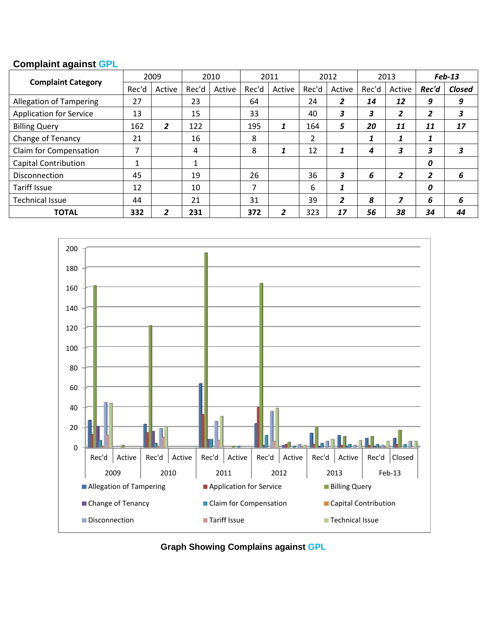### **Complaint against GPL**

|                                | 2009    |        | 2010  |        | 2011  |        | 2012  |        | 2013  |        | $Feb-13$                |        |
|--------------------------------|---------|--------|-------|--------|-------|--------|-------|--------|-------|--------|-------------------------|--------|
| <b>Complaint Category</b>      | Rec'd   | Active | Rec'd | Active | Rec'd | Active | Rec'd | Active | Rec'd | Active | Rec'd                   | Closed |
| <b>Allegation of Tampering</b> | 27      |        | 23    |        | 64    |        | 24    | 2      | 14    | 12     | 9                       | 9      |
| <b>Application for Service</b> | 13      |        | 15    |        | 33    |        | 40    | 3      | 3     | 2      | 2                       | 3      |
| <b>Billing Query</b>           | 162     | 2      | 122   |        | 195   | 1      | 164   | 5      | 20    | 11     | 11                      | 17     |
| Change of Tenancy              | 21      |        | 16    |        | 8     |        | 2     |        | 1     | 1      | 1                       |        |
| Claim for Compensation         | 7       |        | 4     |        | 8     | 1      | 12    |        | 4     | 3      | 3                       | 3      |
| <b>Capital Contribution</b>    | ◢<br>T. |        | 1     |        |       |        |       |        |       |        | 0                       |        |
| Disconnection                  | 45      |        | 19    |        | 26    |        | 36    | 3      | 6     | 2      | $\overline{\mathbf{z}}$ | 6      |
| <b>Tariff Issue</b>            | 12      |        | 10    |        | ⇁     |        | 6     |        |       |        | 0                       |        |
| <b>Technical Issue</b>         | 44      |        | 21    |        | 31    |        | 39    | 2      | 8     |        | 6                       | 6      |
| <b>TOTAL</b>                   | 332     | ֳ      | 231   |        | 372   | 2      | 323   | 17     | 56    | 38     | 34                      | 44     |



**Graph Showing Complains against GPL**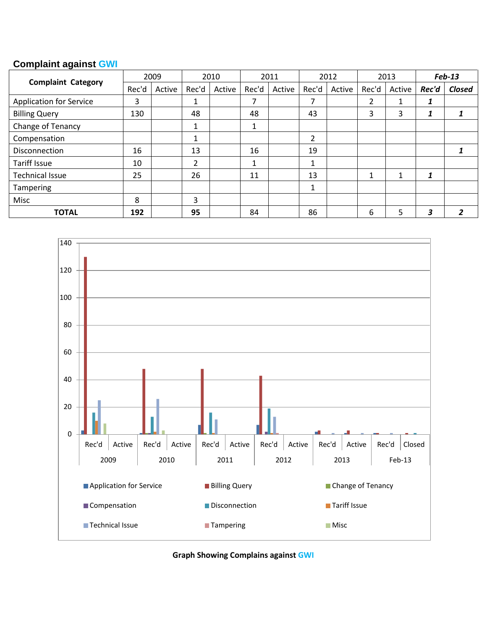# **Complaint against GWI**

|                                |       | 2009   |       | 2010   |       | 2011   |                | 2012   |       | 2013    |       | $Feb-13$      |
|--------------------------------|-------|--------|-------|--------|-------|--------|----------------|--------|-------|---------|-------|---------------|
| <b>Complaint Category</b>      | Rec'd | Active | Rec'd | Active | Rec'd | Active | Rec'd          | Active | Rec'd | Active  | Rec'd | <b>Closed</b> |
| <b>Application for Service</b> | 3     |        | 1     |        |       |        | 7              |        | 2     |         |       |               |
| <b>Billing Query</b>           | 130   |        | 48    |        | 48    |        | 43             |        | 3     | 3       | ┸     |               |
| Change of Tenancy              |       |        |       |        | 1     |        |                |        |       |         |       |               |
| Compensation                   |       |        | 1     |        |       |        | $\overline{2}$ |        |       |         |       |               |
| Disconnection                  | 16    |        | 13    |        | 16    |        | 19             |        |       |         |       |               |
| <b>Tariff Issue</b>            | 10    |        | 2     |        | 1     |        | 1              |        |       |         |       |               |
| <b>Technical Issue</b>         | 25    |        | 26    |        | 11    |        | 13             |        | 1     | $\perp$ |       |               |
| Tampering                      |       |        |       |        |       |        | 1              |        |       |         |       |               |
| Misc                           | 8     |        | 3     |        |       |        |                |        |       |         |       |               |
| <b>TOTAL</b>                   | 192   |        | 95    |        | 84    |        | 86             |        | 6     | 5       | 3     |               |



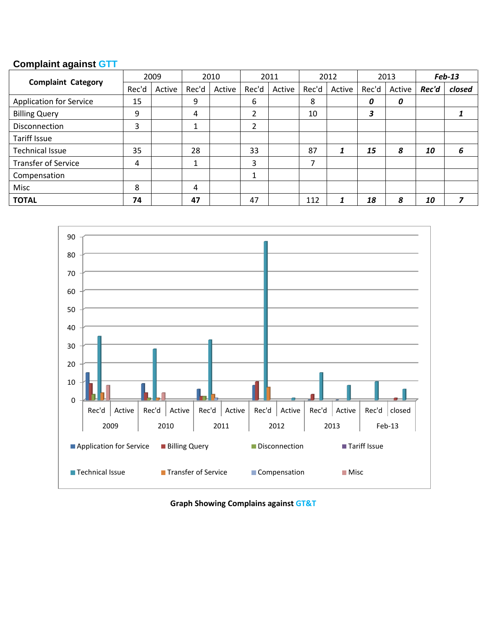# **Complaint against GTT**

|                                |       | 2009   |       | 2010   |       | 2011   |       | 2012   |       | 2013   |       | $Feb-13$ |
|--------------------------------|-------|--------|-------|--------|-------|--------|-------|--------|-------|--------|-------|----------|
| <b>Complaint Category</b>      | Rec'd | Active | Rec'd | Active | Rec'd | Active | Rec'd | Active | Rec'd | Active | Rec'd | closed   |
| <b>Application for Service</b> | 15    |        | 9     |        | 6     |        | 8     |        | 0     | 0      |       |          |
| <b>Billing Query</b>           | 9     |        | 4     |        | ∍     |        | 10    |        | 3     |        |       |          |
| <b>Disconnection</b>           | 3     |        | 1     |        | C.    |        |       |        |       |        |       |          |
| <b>Tariff Issue</b>            |       |        |       |        |       |        |       |        |       |        |       |          |
| <b>Technical Issue</b>         | 35    |        | 28    |        | 33    |        | 87    |        | 15    | 8      | 10    | 6        |
| <b>Transfer of Service</b>     | 4     |        | 1     |        | 3     |        | ⇁     |        |       |        |       |          |
| Compensation                   |       |        |       |        | 4     |        |       |        |       |        |       |          |
| Misc                           | 8     |        | 4     |        |       |        |       |        |       |        |       |          |
| <b>TOTAL</b>                   | 74    |        | 47    |        | 47    |        | 112   |        | 18    | 8      | 10    |          |



**Graph Showing Complains against GT&T**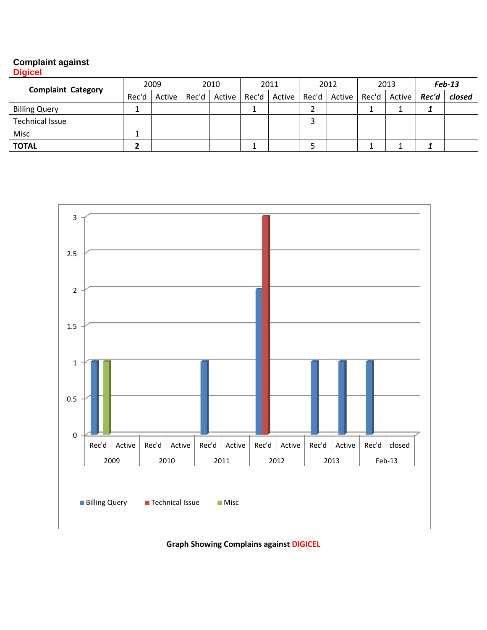## **Complaint against**

|                           | 2009  |  | 2010 |  | 2011 |                                          | 2012 |                        | 2013 |        | Feb-13 |        |
|---------------------------|-------|--|------|--|------|------------------------------------------|------|------------------------|------|--------|--------|--------|
| <b>Complaint Category</b> | Rec'd |  |      |  |      | Active   Rec'd   Active   Rec'd   Active |      | Rec'd   Active   Rec'd |      | Active | Rec'd  | closed |
| <b>Billing Query</b>      |       |  |      |  |      |                                          |      |                        |      |        |        |        |
| <b>Technical Issue</b>    |       |  |      |  |      |                                          |      |                        |      |        |        |        |
| Misc                      |       |  |      |  |      |                                          |      |                        |      |        |        |        |
| <b>TOTAL</b>              |       |  |      |  |      |                                          |      |                        |      |        |        |        |



**Graph Showing Complains against DIGICEL**